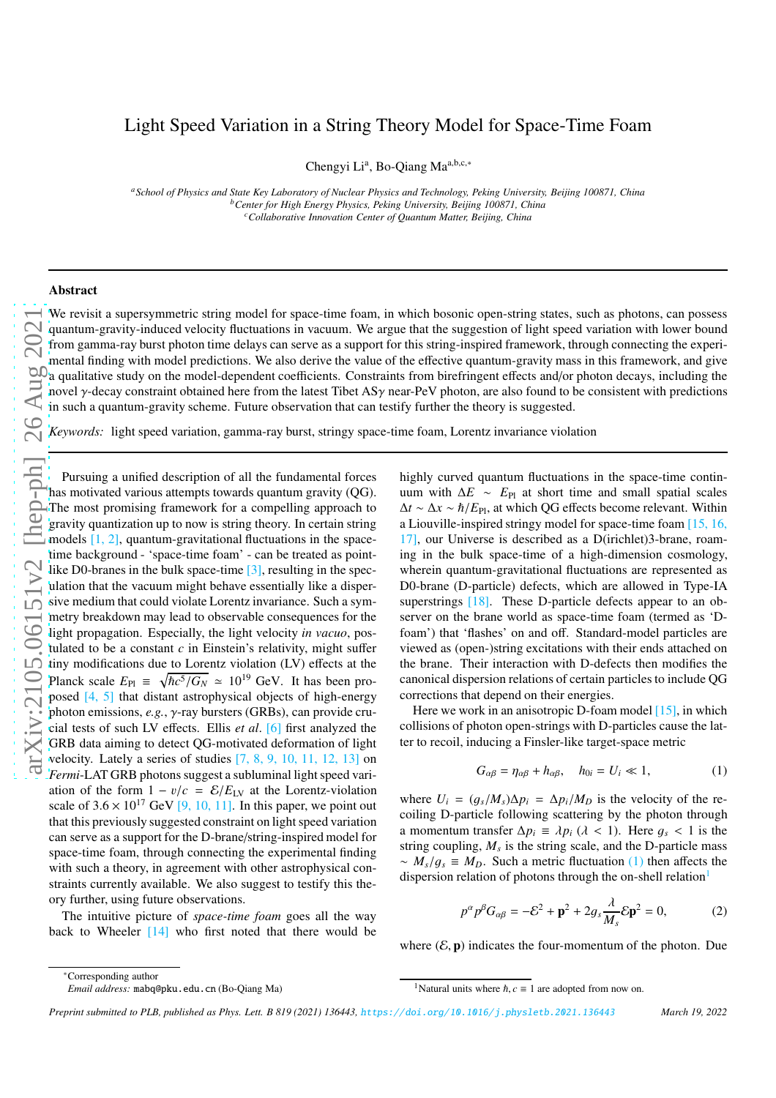# Light Speed Variation in a String Theory Model for Space-Time Foam

Chengyi Li<sup>a</sup>, Bo-Qiang Ma<sup>a,b,c,∗</sup>

*<sup>a</sup>School of Physics and State Key Laboratory of Nuclear Physics and Technology, Peking University, Beijing 100871, China <sup>b</sup>Center for High Energy Physics, Peking University, Beijing 100871, China <sup>c</sup>Collaborative Innovation Center of Quantum Matter, Beijing, China*

#### Abstract

We revisit a supersymmetric string model for space-time foam, in which bosonic open-string states, such as photons, can possess quantum-gravity-induced velocity fluctuations in vacuum. We argue that the suggestion of light speed variation with lower bound from gamma-ray burst photon time delays can serve as a support for this string-inspired framework, through connecting the experimental finding with model predictions. We also derive the value of the effective quantum-gravity mass in this framework, and give a qualitative study on the model-dependent coefficients. Constraints from birefringent effects and/or photon decays, including the novel  $\gamma$ -decay constraint obtained here from the latest Tibet AS $\gamma$  near-PeV photon, are also found to be consistent with predictions in such a quantum-gravity scheme. Future observation that can testify further the theory is suggested.

*Keywords:* light speed variation, gamma-ray burst, stringy space-time foam, Lorentz invariance violation

Pursuing a unified description of all the fundamental forces has motivated various attempts towards quantum gravity (QG). The most promising framework for a compelling approach to gravity quantization up to now is string theory. In certain string models [\[1,](#page-4-0) [2\]](#page-4-1), quantum-gravitational fluctuations in the spacetime background - 'space-time foam' - can be treated as point-like D0-branes in the bulk space-time [\[3\]](#page-4-2), resulting in the speculation that the vacuum might behave essentially like a dispersive medium that could violate Lorentz invariance. Such a symmetry breakdown may lead to observable consequences for the light propagation. Especially, the light velocity *in vacuo*, postulated to be a constant *c* in Einstein's relativity, might suffer tiny modifications due to Lorentz violation (LV) effects at the Planck scale  $E_{\text{Pl}} \equiv \sqrt{\hbar c^5/G_N} \approx 10^{19} \text{ GeV}$ . It has been pro-posed [\[4,](#page-4-3) [5](#page-4-4)] that distant astrophysical objects of high-energy photon emissions, *e.g.*, γ-ray bursters (GRBs), can provide crucial tests of such LV effects. Ellis *et al*. [\[6\]](#page-4-5) first analyzed the GRB data aiming to detect QG-motivated deformation of light velocity. Lately a series of studies  $[7, 8, 9, 10, 11, 12, 13]$  $[7, 8, 9, 10, 11, 12, 13]$  $[7, 8, 9, 10, 11, 12, 13]$  $[7, 8, 9, 10, 11, 12, 13]$  $[7, 8, 9, 10, 11, 12, 13]$  $[7, 8, 9, 10, 11, 12, 13]$  $[7, 8, 9, 10, 11, 12, 13]$  $[7, 8, 9, 10, 11, 12, 13]$  $[7, 8, 9, 10, 11, 12, 13]$  $[7, 8, 9, 10, 11, 12, 13]$  $[7, 8, 9, 10, 11, 12, 13]$  on *Fermi*-LAT GRB photons suggest a subluminal light speed variation of the form  $1 - v/c = \mathcal{E}/E_{LV}$  at the Lorentz-violation scale of  $3.6 \times 10^{17}$  $3.6 \times 10^{17}$  $3.6 \times 10^{17}$  GeV [\[9](#page-4-8), 10, [11\]](#page-4-10). In this paper, we point out that this previously suggested constraint on light speed variation can serve as a support for the D-brane/string-inspired model for space-time foam, through connecting the experimental finding with such a theory, in agreement with other astrophysical constraints currently available. We also suggest to testify this theory further, using future observations.

The intuitive picture of *space-time foam* goes all the way back to Wheeler [\[14](#page-4-13)] who first noted that there would be highly curved quantum fluctuations in the space-time continuum with  $\Delta E \sim E_{\text{Pl}}$  at short time and small spatial scales ∆*t* ∼ ∆*x* ∼ ℏ/*E*Pl, at which QG effects become relevant. Within a Liouville-inspired stringy model for space-time foam [\[15,](#page-4-14) [16](#page-4-15), [17\]](#page-4-16), our Universe is described as a D(irichlet)3-brane, roaming in the bulk space-time of a high-dimension cosmology, wherein quantum-gravitational fluctuations are represented as D0-brane (D-particle) defects, which are allowed in Type-IA superstrings [\[18\]](#page-4-17). These D-particle defects appear to an observer on the brane world as space-time foam (termed as 'Dfoam') that 'flashes' on and off. Standard-model particles are viewed as (open-)string excitations with their ends attached on the brane. Their interaction with D-defects then modifies the canonical dispersion relations of certain particles to include QG corrections that depend on their energies.

Here we work in an anisotropic D-foam model [\[15\]](#page-4-14), in which collisions of photon open-strings with D-particles cause the latter to recoil, inducing a Finsler-like target-space metric

<span id="page-0-0"></span>
$$
G_{\alpha\beta} = \eta_{\alpha\beta} + h_{\alpha\beta}, \quad h_{0i} = U_i \ll 1,
$$
 (1)

where  $U_i = (g_s/M_s)\Delta p_i = \Delta p_i/M_D$  is the velocity of the recoiling D-particle following scattering by the photon through a momentum transfer  $\Delta p_i \equiv \lambda p_i$  ( $\lambda < 1$ ). Here  $g_s < 1$  is the string coupling,  $M_s$  is the string scale, and the D-particle mass  $\sim M_s/g_s \equiv M_D$ . Such a metric fluctuation [\(1\)](#page-0-0) then affects the dispersion relation of photons through the on-shell relation<sup>[1](#page-0-1)</sup>

<span id="page-0-2"></span>
$$
p^{\alpha} p^{\beta} G_{\alpha\beta} = -\mathcal{E}^2 + \mathbf{p}^2 + 2g_s \frac{\lambda}{M_s} \mathcal{E} \mathbf{p}^2 = 0, \qquad (2)
$$

where  $(\mathcal{E}, \mathbf{p})$  indicates the four-momentum of the photon. Due

*Preprint submitted to PLB, published as Phys. Lett. B 819 (2021) 136443,* <https://doi.org/10.1016/j.physletb.2021.136443> *March 19, 2022*

<sup>∗</sup>Corresponding author

*Email address:* mabq@pku.edu.cn (Bo-Qiang Ma)

<span id="page-0-1"></span><sup>&</sup>lt;sup>1</sup>Natural units where  $\hbar$ ,  $c \equiv 1$  are adopted from now on.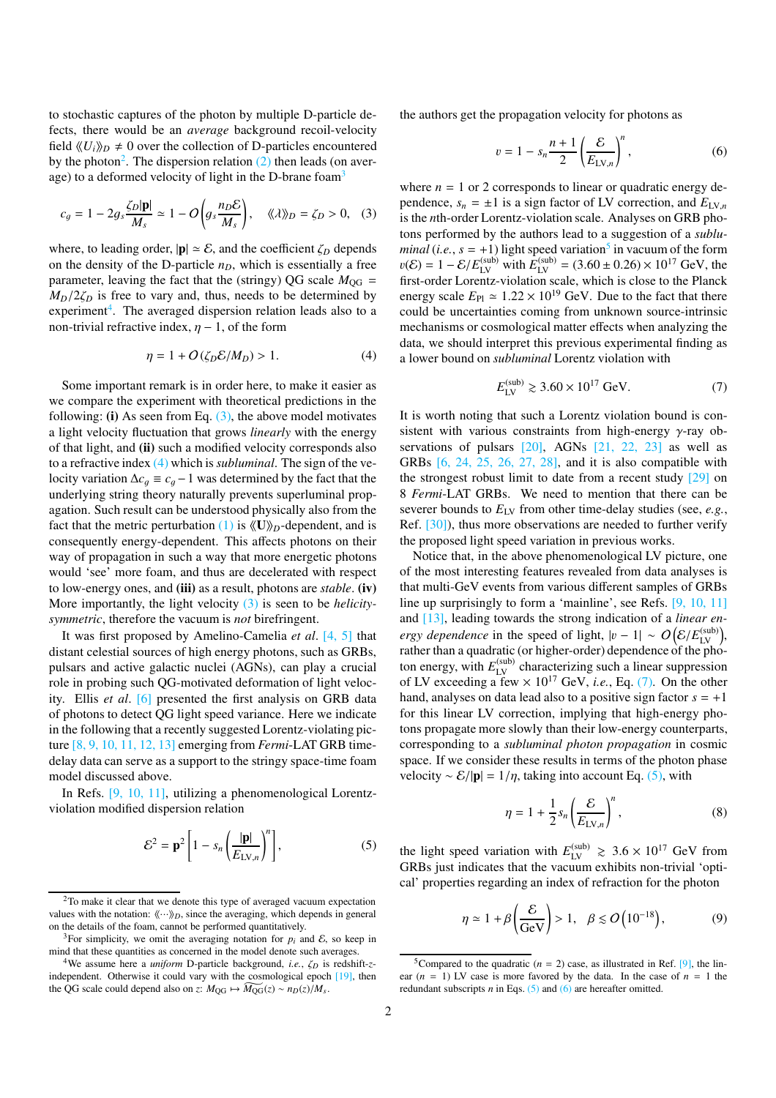to stochastic captures of the photon by multiple D-particle defects, there would be an *average* background recoil-velocity field  $\langle U_i \rangle_D \neq 0$  over the collection of D-particles encountered by the photon<sup>[2](#page-1-0)</sup>. The dispersion relation  $(2)$  then leads (on aver-age) to a deformed velocity of light in the D-brane foam<sup>[3](#page-1-1)</sup>

<span id="page-1-3"></span>
$$
c_g = 1 - 2g_s \frac{\zeta_D |\mathbf{p}|}{M_s} \simeq 1 - O\left(g_s \frac{n_D \mathcal{E}}{M_s}\right), \quad \langle \langle \lambda \rangle \rangle_D = \zeta_D > 0, \quad (3)
$$

where, to leading order,  $|\mathbf{p}| \simeq \mathcal{E}$ , and the coefficient  $\zeta_D$  depends on the density of the D-particle *nD*, which is essentially a free parameter, leaving the fact that the (stringy) QG scale  $M_{\text{OG}}$  =  $M_D/2\zeta_D$  is free to vary and, thus, needs to be determined by experiment<sup>[4](#page-1-2)</sup>. The averaged dispersion relation leads also to a non-trivial refractive index,  $\eta$  – 1, of the form

<span id="page-1-4"></span>
$$
\eta = 1 + O(\zeta_D \mathcal{E}/M_D) > 1. \tag{4}
$$

Some important remark is in order here, to make it easier as we compare the experiment with theoretical predictions in the following: (i) As seen from Eq.  $(3)$ , the above model motivates a light velocity fluctuation that grows *linearly* with the energy of that light, and (ii) such a modified velocity corresponds also to a refractive index [\(4\)](#page-1-4) which is *subluminal*. The sign of the velocity variation  $\Delta c_q \equiv c_q - 1$  was determined by the fact that the underlying string theory naturally prevents superluminal propagation. Such result can be understood physically also from the fact that the metric perturbation [\(1\)](#page-0-0) is  $\langle U \rangle$ <sub>*D*</sub>-dependent, and is consequently energy-dependent. This affects photons on their way of propagation in such a way that more energetic photons would 'see' more foam, and thus are decelerated with respect to low-energy ones, and (iii) as a result, photons are *stable*. (iv) More importantly, the light velocity [\(3\)](#page-1-3) is seen to be *helicitysymmetric*, therefore the vacuum is *not* birefringent.

It was first proposed by Amelino-Camelia *et al*. [\[4,](#page-4-3) [5\]](#page-4-4) that distant celestial sources of high energy photons, such as GRBs, pulsars and active galactic nuclei (AGNs), can play a crucial role in probing such QG-motivated deformation of light velocity. Ellis *et al*. [\[6](#page-4-5)] presented the first analysis on GRB data of photons to detect QG light speed variance. Here we indicate in the following that a recently suggested Lorentz-violating picture [\[8,](#page-4-7) [9](#page-4-8), [10,](#page-4-9) [11](#page-4-10), [12,](#page-4-11) [13](#page-4-12)] emerging from *Fermi*-LAT GRB timedelay data can serve as a support to the stringy space-time foam model discussed above.

In Refs. [\[9,](#page-4-8) [10,](#page-4-9) [11\]](#page-4-10), utilizing a phenomenological Lorentzviolation modified dispersion relation

<span id="page-1-7"></span>
$$
\mathcal{E}^2 = \mathbf{p}^2 \left[ 1 - s_n \left( \frac{|\mathbf{p}|}{E_{\text{LV},n}} \right)^n \right],\tag{5}
$$

the authors get the propagation velocity for photons as

<span id="page-1-8"></span>
$$
v = 1 - s_n \frac{n+1}{2} \left( \frac{\mathcal{E}}{E_{\text{LV},n}} \right)^n, \tag{6}
$$

where  $n = 1$  or 2 corresponds to linear or quadratic energy dependence,  $s_n = \pm 1$  is a sign factor of LV correction, and  $E_{\text{LV},n}$ is the *n*th-order Lorentz-violation scale. Analyses on GRB photons performed by the authors lead to a suggestion of a *subluminal* (*i.e.*,  $s = +1$ ) light speed variation<sup>[5](#page-1-5)</sup> in vacuum of the form  $v(\mathcal{E}) = 1 - \mathcal{E}/E_{\text{LV}}^{(\text{sub})}$  with  $E_{\text{LV}}^{(\text{sub})} = (3.60 \pm 0.26) \times 10^{17} \text{ GeV}$ , the first-order Lorentz-violation scale, which is close to the Planck energy scale  $E_{\text{Pl}} \simeq 1.22 \times 10^{19} \text{ GeV}$ . Due to the fact that there could be uncertainties coming from unknown source-intrinsic mechanisms or cosmological matter effects when analyzing the data, we should interpret this previous experimental finding as a lower bound on *subluminal* Lorentz violation with

<span id="page-1-6"></span>
$$
E_{\text{LV}}^{(\text{sub})} \gtrsim 3.60 \times 10^{17} \text{ GeV}.
$$
 (7)

It is worth noting that such a Lorentz violation bound is consistent with various constraints from high-energy  $\gamma$ -ray observations of pulsars  $[20]$ , AGNs  $[21, 22, 23]$  $[21, 22, 23]$  $[21, 22, 23]$  $[21, 22, 23]$  as well as GRBs [\[6](#page-4-5), [24](#page-4-23), [25,](#page-4-24) [26,](#page-4-25) [27,](#page-4-26) [28](#page-5-0)], and it is also compatible with the strongest robust limit to date from a recent study [\[29\]](#page-5-1) on 8 *Fermi*-LAT GRBs. We need to mention that there can be severer bounds to  $E_{\text{LV}}$  from other time-delay studies (see, *e.g.*, Ref. [\[30\]](#page-5-2)), thus more observations are needed to further verify the proposed light speed variation in previous works.

Notice that, in the above phenomenological LV picture, one of the most interesting features revealed from data analyses is that multi-GeV events from various different samples of GRBs line up surprisingly to form a 'mainline', see Refs. [\[9,](#page-4-8) [10,](#page-4-9) [11\]](#page-4-10) and [\[13\]](#page-4-12), leading towards the strong indication of a *linear energy dependence* in the speed of light,  $|v - 1| \sim O(E/E_{\text{LV}}^{\text{(sub)}})$ , rather than a quadratic (or higher-order) dependence of the photon energy, with  $E_{\text{LV}}^{(\text{sub})}$  characterizing such a linear suppression of LV exceeding a few  $\times 10^{17}$  GeV, *i.e.*, Eq. [\(7\).](#page-1-6) On the other hand, analyses on data lead also to a positive sign factor  $s = +1$ for this linear LV correction, implying that high-energy photons propagate more slowly than their low-energy counterparts, corresponding to a *subluminal photon propagation* in cosmic space. If we consider these results in terms of the photon phase velocity ~  $\mathcal{E}/|\mathbf{p}| = 1/\eta$ , taking into account Eq. [\(5\),](#page-1-7) with

$$
\eta = 1 + \frac{1}{2} s_n \left( \frac{\mathcal{E}}{E_{\text{LV},n}} \right)^n, \tag{8}
$$

the light speed variation with  $E_{\text{LV}}^{(\text{sub})} \geq 3.6 \times 10^{17}$  GeV from GRBs just indicates that the vacuum exhibits non-trivial 'optical' properties regarding an index of refraction for the photon

<span id="page-1-9"></span>
$$
\eta \simeq 1 + \beta \left(\frac{\mathcal{E}}{\text{GeV}}\right) > 1, \quad \beta \lesssim O\left(10^{-18}\right),\tag{9}
$$

<span id="page-1-0"></span><sup>&</sup>lt;sup>2</sup>To make it clear that we denote this type of averaged vacuum expectation values with the notation:  $\langle\!\langle \cdots \rangle\!\rangle_D$ , since the averaging, which depends in general on the details of the foam, cannot be performed quantitatively.

<span id="page-1-1"></span><sup>&</sup>lt;sup>3</sup>For simplicity, we omit the averaging notation for  $p_i$  and  $\mathcal{E}$ , so keep in mind that these quantities as concerned in the model denote such averages.

<span id="page-1-2"></span><sup>4</sup>We assume here a *uniform* D-particle background, *i.e.*, ζ*<sup>D</sup>* is redshift-*z*independent. Otherwise it could vary with the cosmological epoch [\[19\]](#page-4-18), then the QG scale could depend also on *z*:  $M_{\text{QG}} \rightarrow \widehat{M_{\text{QG}}}(z) \sim n_D(z)/M_s$ .

<span id="page-1-5"></span><sup>&</sup>lt;sup>5</sup>Compared to the quadratic ( $n = 2$ ) case, as illustrated in Ref. [\[9](#page-4-8)], the linear  $(n = 1)$  LV case is more favored by the data. In the case of  $n = 1$  the redundant subscripts *n* in Eqs. [\(5\)](#page-1-7) and [\(6\)](#page-1-8) are hereafter omitted.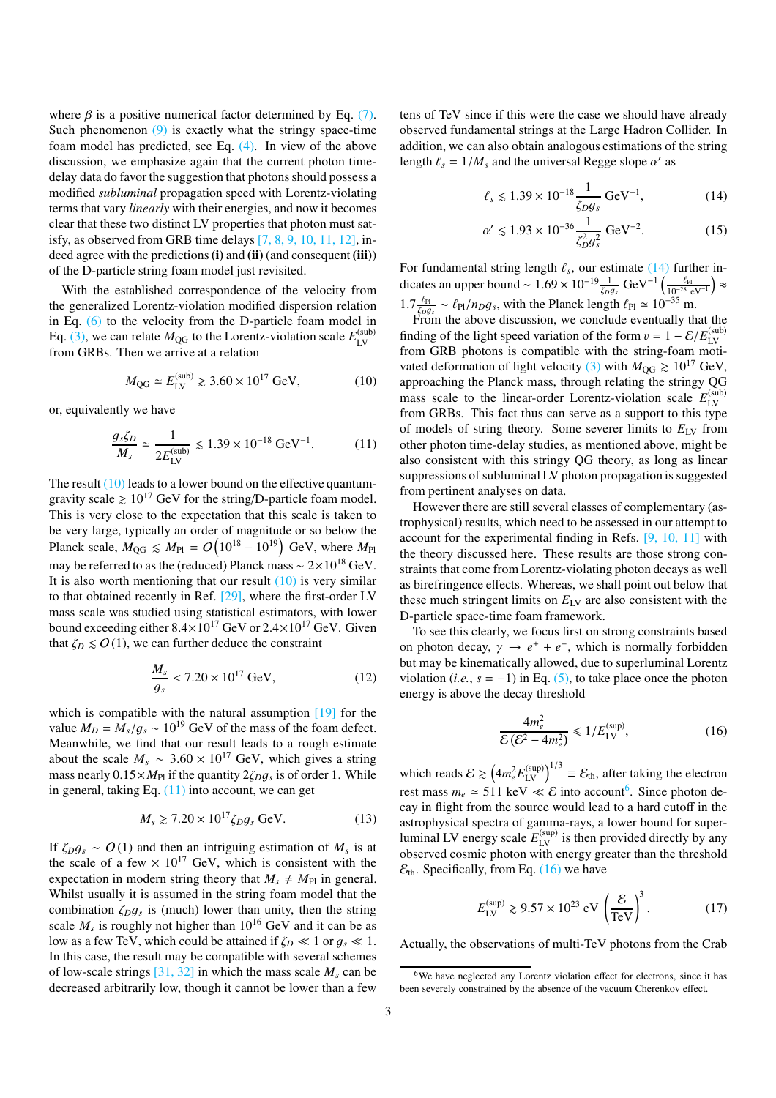where  $\beta$  is a positive numerical factor determined by Eq. [\(7\).](#page-1-6) Such phenomenon [\(9\)](#page-1-9) is exactly what the stringy space-time foam model has predicted, see Eq. [\(4\).](#page-1-4) In view of the above discussion, we emphasize again that the current photon timedelay data do favor the suggestion that photons should possess a modified *subluminal* propagation speed with Lorentz-violating terms that vary *linearly* with their energies, and now it becomes clear that these two distinct LV properties that photon must satisfy, as observed from GRB time delays [\[7,](#page-4-6) [8,](#page-4-7) [9](#page-4-8), [10,](#page-4-9) [11,](#page-4-10) [12\]](#page-4-11), indeed agree with the predictions (i) and (ii) (and consequent (iii)) of the D-particle string foam model just revisited.

With the established correspondence of the velocity from the generalized Lorentz-violation modified dispersion relation in Eq.  $(6)$  to the velocity from the D-particle foam model in Eq. [\(3\),](#page-1-3) we can relate  $M_{\text{QG}}$  to the Lorentz-violation scale  $E_{\text{LV}}^{(\text{sub})}$ LV from GRBs. Then we arrive at a relation

<span id="page-2-0"></span>
$$
M_{\rm QG} \simeq E_{\rm LV}^{(\rm sub)} \gtrsim 3.60 \times 10^{17} \,\text{GeV},\tag{10}
$$

or, equivalently we have

<span id="page-2-1"></span>
$$
\frac{g_s \zeta_D}{M_s} \simeq \frac{1}{2E_{\text{LV}}^{\text{(sub)}}} \lesssim 1.39 \times 10^{-18} \text{ GeV}^{-1}.
$$
 (11)

The result [\(10\)](#page-2-0) leads to a lower bound on the effective quantumgravity scale  $\geq 10^{17}$  GeV for the string/D-particle foam model. This is very close to the expectation that this scale is taken to be very large, typically an order of magnitude or so below the Planck scale,  $M_{\rm QG} \leq M_{\rm Pl} = O\left(10^{18} - 10^{19}\right)$  GeV, where  $M_{\rm Pl}$ may be referred to as the (reduced) Planck mass  $\sim 2 \times 10^{18}$  GeV. It is also worth mentioning that our result  $(10)$  is very similar to that obtained recently in Ref. [\[29\]](#page-5-1), where the first-order LV mass scale was studied using statistical estimators, with lower bound exceeding either  $8.4 \times 10^{17}$  GeV or  $2.4 \times 10^{17}$  GeV. Given that  $\zeta_D \leq O(1)$ , we can further deduce the constraint

$$
\frac{M_s}{g_s} < 7.20 \times 10^{17} \text{ GeV},\tag{12}
$$

which is compatible with the natural assumption [\[19\]](#page-4-18) for the value  $M_D = M_s/g_s \sim 10^{19}$  GeV of the mass of the foam defect. Meanwhile, we find that our result leads to a rough estimate about the scale  $M_s \sim 3.60 \times 10^{17}$  GeV, which gives a string mass nearly  $0.15 \times M_{\text{Pl}}$  if the quantity  $2\zeta_D g_s$  is of order 1. While in general, taking Eq.  $(11)$  into account, we can get

$$
M_s \gtrsim 7.20 \times 10^{17} \zeta_D g_s \,\text{GeV}.\tag{13}
$$

If  $\zeta_D g_s \sim O(1)$  and then an intriguing estimation of  $M_s$  is at the scale of a few  $\times 10^{17}$  GeV, which is consistent with the expectation in modern string theory that  $M_s \neq M_{Pl}$  in general. Whilst usually it is assumed in the string foam model that the combination  $\zeta_D g_s$  is (much) lower than unity, then the string scale  $M_s$  is roughly not higher than  $10^{16}$  GeV and it can be as low as a few TeV, which could be attained if  $\zeta_D \ll 1$  or  $g_s \ll 1$ . In this case, the result may be compatible with several schemes of low-scale strings  $[31, 32]$  $[31, 32]$  $[31, 32]$  in which the mass scale  $M_s$  can be decreased arbitrarily low, though it cannot be lower than a few

tens of TeV since if this were the case we should have already observed fundamental strings at the Large Hadron Collider. In addition, we can also obtain analogous estimations of the string length  $\ell_s = 1/M_s$  and the universal Regge slope  $\alpha'$  as

<span id="page-2-2"></span>
$$
\ell_s \lesssim 1.39 \times 10^{-18} \frac{1}{\zeta_D g_s} \text{ GeV}^{-1},\tag{14}
$$

$$
\alpha' \lesssim 1.93 \times 10^{-36} \frac{1}{\zeta_D^2 g_s^2} \,\text{GeV}^{-2}.\tag{15}
$$

For fundamental string length  $\ell_s$ , our estimate  $(14)$  further indicates an upper bound ~  $1.69 \times 10^{-19} \frac{1}{\zeta \rho g_s} \text{ GeV}^{-1} \left( \frac{\ell_{\text{Pl}}}{10^{-28} \text{ eV}^{-1}} \right) \approx$  $1.7 \frac{\ell_{\text{Pl}}}{\zeta \rho g_s} \sim \ell_{\text{Pl}}/n_D g_s$ , with the Planck length  $\ell_{\text{Pl}} \simeq 10^{-35}$  m.

From the above discussion, we conclude eventually that the finding of the light speed variation of the form  $v = 1 - \mathcal{E}/E_{\text{IV}}^{(\text{sub})}$ LV from GRB photons is compatible with the string-foam moti-vated deformation of light velocity [\(3\)](#page-1-3) with  $M_{\text{OG}} \ge 10^{17} \text{ GeV}$ , approaching the Planck mass, through relating the stringy QG mass scale to the linear-order Lorentz-violation scale  $E_{IV}^{(sub)}$ LV from GRBs. This fact thus can serve as a support to this type of models of string theory. Some severer limits to  $E_{LV}$  from other photon time-delay studies, as mentioned above, might be also consistent with this stringy QG theory, as long as linear suppressions of subluminal LV photon propagation is suggested from pertinent analyses on data.

However there are still several classes of complementary (astrophysical) results, which need to be assessed in our attempt to account for the experimental finding in Refs. [\[9,](#page-4-8) [10,](#page-4-9) [11](#page-4-10)] with the theory discussed here. These results are those strong constraints that come from Lorentz-violating photon decays as well as birefringence effects. Whereas, we shall point out below that these much stringent limits on  $E_{\text{LV}}$  are also consistent with the D-particle space-time foam framework.

To see this clearly, we focus first on strong constraints based on photon decay,  $\gamma \rightarrow e^+ + e^-$ , which is normally forbidden but may be kinematically allowed, due to superluminal Lorentz violation (*i.e.*,  $s = -1$ ) in Eq. [\(5\),](#page-1-7) to take place once the photon energy is above the decay threshold

<span id="page-2-4"></span>
$$
\frac{4m_e^2}{\mathcal{E}(\mathcal{E}^2 - 4m_e^2)} \le 1/E_{\text{LV}}^{\text{(sup)}},\tag{16}
$$

which reads  $\mathcal{E} \gtrsim \left(4m_e^2 E_{\text{LV}}^{(\text{sup})}\right)^{1/3} \equiv \mathcal{E}_{\text{th}}$ , after taking the electron rest mass  $m_e \approx 511 \text{ keV} \ll \mathcal{E}$  into account<sup>[6](#page-2-3)</sup>. Since photon decay in flight from the source would lead to a hard cutoff in the astrophysical spectra of gamma-rays, a lower bound for superluminal LV energy scale  $E_{\text{LV}}^{(\text{sup})}$  is then provided directly by any observed cosmic photon with energy greater than the threshold  $\mathcal{E}_{\text{th}}$ . Specifically, from Eq. [\(16\)](#page-2-4) we have

<span id="page-2-5"></span>
$$
E_{\text{LV}}^{(\text{sup})} \gtrsim 9.57 \times 10^{23} \text{ eV} \left(\frac{\mathcal{E}}{\text{TeV}}\right)^3. \tag{17}
$$

Actually, the observations of multi-TeV photons from the Crab

<span id="page-2-3"></span><sup>&</sup>lt;sup>6</sup>We have neglected any Lorentz violation effect for electrons, since it has been severely constrained by the absence of the vacuum Cherenkov effect.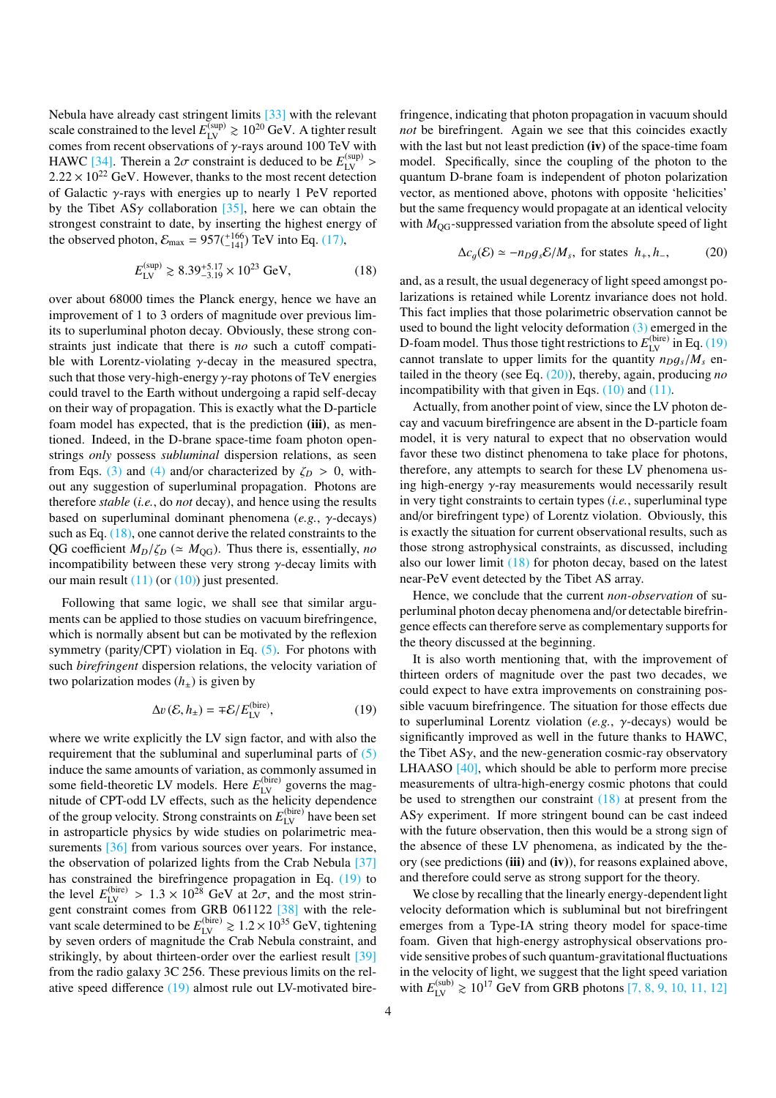Nebula have already cast stringent limits [\[33](#page-5-5)] with the relevant scale constrained to the level  $E_{\text{LV}}^{\text{(sup)}} \gtrsim 10^{20} \text{ GeV}$ . A tighter result comes from recent observations of  $\gamma$ -rays around 100 TeV with HAWC [\[34](#page-5-6)]. Therein a  $2\sigma$  constraint is deduced to be  $E_{LV}^{(\text{sup})}$  >  $2.22 \times 10^{22}$  GeV. However, thanks to the most recent detection of Galactic γ-rays with energies up to nearly 1 PeV reported by the Tibet AS $\gamma$  collaboration [\[35\]](#page-5-7), here we can obtain the strongest constraint to date, by inserting the highest energy of the observed photon,  $\mathcal{E}_{\text{max}} = 957(^{+166}_{-141}) \text{ TeV}$  into Eq. [\(17\),](#page-2-5)

<span id="page-3-0"></span>
$$
E_{\text{LV}}^{(\text{sup})} \gtrsim 8.39_{-3.19}^{+5.17} \times 10^{23} \text{ GeV},\tag{18}
$$

over about 68000 times the Planck energy, hence we have an improvement of 1 to 3 orders of magnitude over previous limits to superluminal photon decay. Obviously, these strong constraints just indicate that there is *no* such a cutoff compatible with Lorentz-violating  $\gamma$ -decay in the measured spectra, such that those very-high-energy  $\gamma$ -ray photons of TeV energies could travel to the Earth without undergoing a rapid self-decay on their way of propagation. This is exactly what the D-particle foam model has expected, that is the prediction (iii), as mentioned. Indeed, in the D-brane space-time foam photon openstrings *only* possess *subluminal* dispersion relations, as seen from Eqs. [\(3\)](#page-1-3) and [\(4\)](#page-1-4) and/or characterized by  $\zeta_D > 0$ , without any suggestion of superluminal propagation. Photons are therefore *stable* (*i.e.*, do *not* decay), and hence using the results based on superluminal dominant phenomena (*e.g.*, γ-decays) such as Eq. [\(18\),](#page-3-0) one cannot derive the related constraints to the QG coefficient  $M_D/\zeta_D$  ( $\simeq M_{\text{QG}}$ ). Thus there is, essentially, *no* incompatibility between these very strong  $\gamma$ -decay limits with our main result  $(11)$  (or  $(10)$ ) just presented.

Following that same logic, we shall see that similar arguments can be applied to those studies on vacuum birefringence, which is normally absent but can be motivated by the reflexion symmetry (parity/CPT) violation in Eq. [\(5\).](#page-1-7) For photons with such *birefringent* dispersion relations, the velocity variation of two polarization modes  $(h_{+})$  is given by

<span id="page-3-1"></span>
$$
\Delta v \left( \mathcal{E}, h_{\pm} \right) = \mp \mathcal{E} / E_{\text{LV}}^{\text{(bire)}},\tag{19}
$$

where we write explicitly the LV sign factor, and with also the requirement that the subluminal and superluminal parts of [\(5\)](#page-1-7) induce the same amounts of variation, as commonly assumed in some field-theoretic LV models. Here  $E_{\text{LV}}^{(\text{bire})}$  governs the magnitude of CPT-odd LV effects, such as the helicity dependence of the group velocity. Strong constraints on  $E_{LV}^{(bire)}$  have been set in astroparticle physics by wide studies on polarimetric mea-surements [\[36](#page-5-8)] from various sources over years. For instance, the observation of polarized lights from the Crab Nebula [\[37](#page-5-9)] has constrained the birefringence propagation in Eq. [\(19\)](#page-3-1) to the level  $E_{LV}^{(\text{bire})} > 1.3 \times 10^{28}$  GeV at  $2\sigma$ , and the most strin-gent constraint comes from GRB 061122 [\[38\]](#page-5-10) with the relevant scale determined to be  $E_{\text{LV}}^{\text{(bire)}} \gtrsim 1.2 \times 10^{35} \text{ GeV}$ , tightening by seven orders of magnitude the Crab Nebula constraint, and strikingly, by about thirteen-order over the earliest result [\[39](#page-5-11)] from the radio galaxy 3C 256. These previous limits on the relative speed difference [\(19\)](#page-3-1) almost rule out LV-motivated birefringence, indicating that photon propagation in vacuum should *not* be birefringent. Again we see that this coincides exactly with the last but not least prediction  $(iv)$  of the space-time foam model. Specifically, since the coupling of the photon to the quantum D-brane foam is independent of photon polarization vector, as mentioned above, photons with opposite 'helicities' but the same frequency would propagate at an identical velocity with  $M<sub>OG</sub>$ -suppressed variation from the absolute speed of light

<span id="page-3-2"></span>
$$
\Delta c_g(\mathcal{E}) \simeq -n_D g_s \mathcal{E}/M_s, \text{ for states } h_+, h_-, \tag{20}
$$

and, as a result, the usual degeneracy of light speed amongst polarizations is retained while Lorentz invariance does not hold. This fact implies that those polarimetric observation cannot be used to bound the light velocity deformation  $(3)$  emerged in the D-foam model. Thus those tight restrictions to  $E_{\text{LV}}^{\text{(bire)}}$  in Eq. [\(19\)](#page-3-1) cannot translate to upper limits for the quantity  $n_D g_s/M_s$  entailed in the theory (see Eq. [\(20\)\)](#page-3-2), thereby, again, producing *no* incompatibility with that given in Eqs.  $(10)$  and  $(11)$ .

Actually, from another point of view, since the LV photon decay and vacuum birefringence are absent in the D-particle foam model, it is very natural to expect that no observation would favor these two distinct phenomena to take place for photons, therefore, any attempts to search for these LV phenomena using high-energy γ-ray measurements would necessarily result in very tight constraints to certain types (*i.e.*, superluminal type and/or birefringent type) of Lorentz violation. Obviously, this is exactly the situation for current observational results, such as those strong astrophysical constraints, as discussed, including also our lower limit  $(18)$  for photon decay, based on the latest near-PeV event detected by the Tibet AS array.

Hence, we conclude that the current *non-observation* of superluminal photon decay phenomena and/or detectable birefringence effects can therefore serve as complementary supports for the theory discussed at the beginning.

It is also worth mentioning that, with the improvement of thirteen orders of magnitude over the past two decades, we could expect to have extra improvements on constraining possible vacuum birefringence. The situation for those effects due to superluminal Lorentz violation (*e.g.*, γ-decays) would be significantly improved as well in the future thanks to HAWC, the Tibet  $AS\gamma$ , and the new-generation cosmic-ray observatory LHAASO [\[40](#page-5-12)], which should be able to perform more precise measurements of ultra-high-energy cosmic photons that could be used to strengthen our constraint  $(18)$  at present from the  $AS\gamma$  experiment. If more stringent bound can be cast indeed with the future observation, then this would be a strong sign of the absence of these LV phenomena, as indicated by the theory (see predictions (iii) and (iv)), for reasons explained above, and therefore could serve as strong support for the theory.

We close by recalling that the linearly energy-dependent light velocity deformation which is subluminal but not birefringent emerges from a Type-IA string theory model for space-time foam. Given that high-energy astrophysical observations provide sensitive probes of such quantum-gravitational fluctuations in the velocity of light, we suggest that the light speed variation with  $E_{\text{LV}}^{\text{(sub)}} \ge 10^{17} \text{ GeV}$  $E_{\text{LV}}^{\text{(sub)}} \ge 10^{17} \text{ GeV}$  $E_{\text{LV}}^{\text{(sub)}} \ge 10^{17} \text{ GeV}$  from GRB photons [\[7](#page-4-6), [8](#page-4-7), [9](#page-4-8), 10, [11](#page-4-10), [12\]](#page-4-11)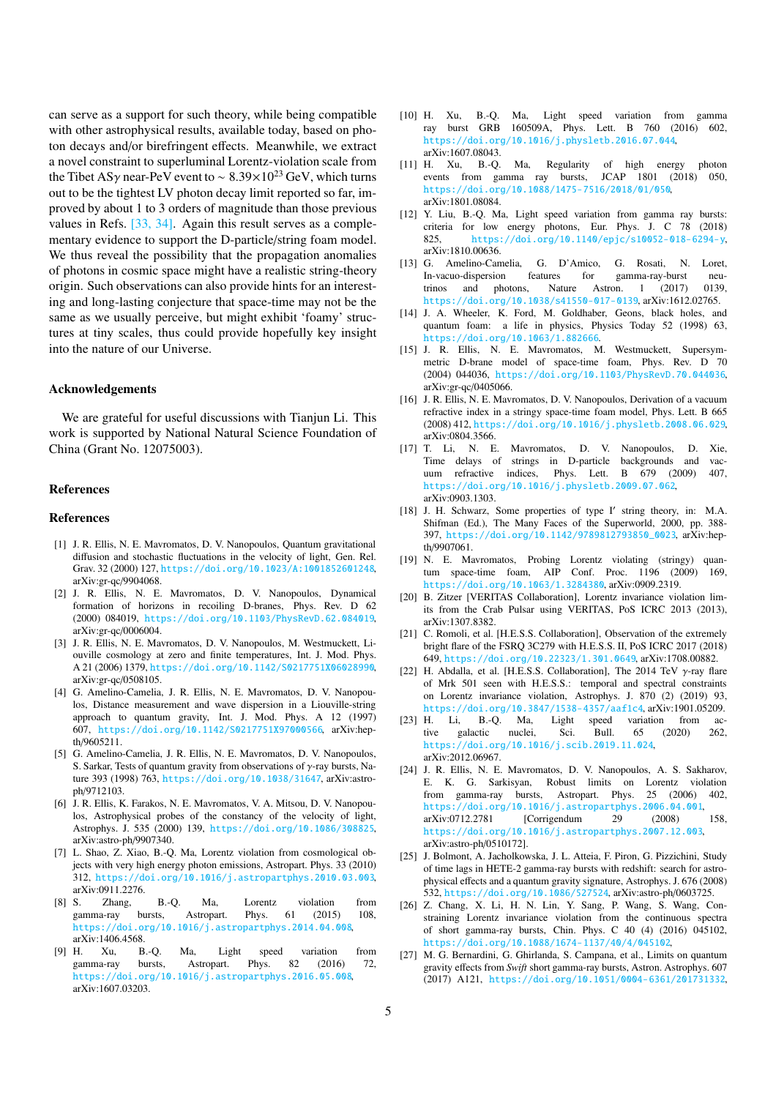can serve as a support for such theory, while being compatible with other astrophysical results, available today, based on photon decays and/or birefringent effects. Meanwhile, we extract a novel constraint to superluminal Lorentz-violation scale from the Tibet ASγ near-PeV event to ~  $8.39 \times 10^{23}$  GeV, which turns out to be the tightest LV photon decay limit reported so far, improved by about 1 to 3 orders of magnitude than those previous values in Refs. [\[33,](#page-5-5) [34](#page-5-6)]. Again this result serves as a complementary evidence to support the D-particle/string foam model. We thus reveal the possibility that the propagation anomalies of photons in cosmic space might have a realistic string-theory origin. Such observations can also provide hints for an interesting and long-lasting conjecture that space-time may not be the same as we usually perceive, but might exhibit 'foamy' structures at tiny scales, thus could provide hopefully key insight into the nature of our Universe.

## Acknowledgements

We are grateful for useful discussions with Tianjun Li. This work is supported by National Natural Science Foundation of China (Grant No. 12075003).

### References

#### References

- <span id="page-4-0"></span>[1] J. R. Ellis, N. E. Mavromatos, D. V. Nanopoulos, Quantum gravitational diffusion and stochastic fluctuations in the velocity of light, Gen. Rel. Grav. 32 (2000) 127, <https://doi.org/10.1023/A:1001852601248>, arXiv:gr-qc/9904068.
- <span id="page-4-1"></span>[2] J. R. Ellis, N. E. Mavromatos, D. V. Nanopoulos, Dynamical formation of horizons in recoiling D-branes, Phys. Rev. D 62 (2000) 084019, <https://doi.org/10.1103/PhysRevD.62.084019>, arXiv:gr-qc/0006004.
- <span id="page-4-2"></span>[3] J. R. Ellis, N. E. Mavromatos, D. V. Nanopoulos, M. Westmuckett, Liouville cosmology at zero and finite temperatures, Int. J. Mod. Phys. A 21 (2006) 1379, <https://doi.org/10.1142/S0217751X06028990>, arXiv:gr-qc/0508105.
- <span id="page-4-3"></span>[4] G. Amelino-Camelia, J. R. Ellis, N. E. Mavromatos, D. V. Nanopoulos, Distance measurement and wave dispersion in a Liouville-string approach to quantum gravity, Int. J. Mod. Phys. A 12 (1997) 607, <https://doi.org/10.1142/S0217751X97000566>, arXiv:hepth/9605211.
- <span id="page-4-4"></span>[5] G. Amelino-Camelia, J. R. Ellis, N. E. Mavromatos, D. V. Nanopoulos, S. Sarkar, Tests of quantum gravity from observations of γ-ray bursts, Nature 393 (1998) 763, <https://doi.org/10.1038/31647>, arXiv:astroph/9712103.
- <span id="page-4-5"></span>[6] J. R. Ellis, K. Farakos, N. E. Mavromatos, V. A. Mitsou, D. V. Nanopoulos, Astrophysical probes of the constancy of the velocity of light, Astrophys. J. 535 (2000) 139, <https://doi.org/10.1086/308825>, arXiv:astro-ph/9907340.
- <span id="page-4-6"></span>[7] L. Shao, Z. Xiao, B.-O. Ma, Lorentz violation from cosmological objects with very high energy photon emissions, Astropart. Phys. 33 (2010) 312, <https://doi.org/10.1016/j.astropartphys.2010.03.003>, arXiv:0911.2276.
- <span id="page-4-7"></span>[8] S. Zhang, B.-Q. Ma, Lorentz violation from gamma-ray bursts, Astropart. Phys. 61 (2015) 108, <https://doi.org/10.1016/j.astropartphys.2014.04.008>, arXiv:1406.4568.<br>H. Xu, B.-Q.
- <span id="page-4-8"></span>[9] H. Xu, B.-Q. Ma, Light speed variation from gamma-ray bursts, Astropart. Phys. 82 (2016) 72, <https://doi.org/10.1016/j.astropartphys.2016.05.008>, arXiv:1607.03203.
- <span id="page-4-9"></span>[10] H. Xu, B.-Q. Ma, Light speed variation from gamma ray burst GRB 160509A, Phys. Lett. B 760 (2016) 602, <https://doi.org/10.1016/j.physletb.2016.07.044>,
- <span id="page-4-10"></span>arXiv:1607.08043.<br>[11] H. Xu, B.-Q. Ma, Regularity of high energy photon events from gamma ray bursts, JCAP 1801 (2018) 050, <https://doi.org/10.1088/1475-7516/2018/01/050>, arXiv:1801.08084.
- <span id="page-4-11"></span>[12] Y. Liu, B.-Q. Ma, Light speed variation from gamma ray bursts: criteria for low energy photons, Eur. Phys. J. C 78 (2018) 825, <https://doi.org/10.1140/epjc/s10052-018-6294-y>, arXiv:1810.00636.
- <span id="page-4-12"></span>[13] G. Amelino-Camelia, G. D'Amico, G. Rosati, N. Loret, In-vacuo-dispersion features for gamma-ray-burst neutrinos and photons, Nature Astron. 1 (2017) 0139, <https://doi.org/10.1038/s41550-017-0139>, arXiv:1612.02765.
- <span id="page-4-13"></span>[14] J. A. Wheeler, K. Ford, M. Goldhaber, Geons, black holes, and quantum foam: a life in physics, Physics Today 52 (1998) 63, <https://doi.org/10.1063/1.882666>.
- <span id="page-4-14"></span>[15] J. R. Ellis, N. E. Mavromatos, M. Westmuckett, Supersymmetric D-brane model of space-time foam, Phys. Rev. D 70 (2004) 044036, <https://doi.org/10.1103/PhysRevD.70.044036>, arXiv:gr-qc/0405066.
- <span id="page-4-15"></span>[16] J. R. Ellis, N. E. Mavromatos, D. V. Nanopoulos, Derivation of a vacuum refractive index in a stringy space-time foam model, Phys. Lett. B 665 (2008) 412, <https://doi.org/10.1016/j.physletb.2008.06.029>, arXiv:0804.3566.
- <span id="page-4-16"></span>[17] T. Li, N. E. Mavromatos, D. V. Nanopoulos, D. Xie, Time delays of strings in D-particle backgrounds and vacuum refractive indices, Phys. Lett. B 679 (2009) 407, <https://doi.org/10.1016/j.physletb.2009.07.062>, arXiv:0903.1303.
- <span id="page-4-17"></span>[18] J. H. Schwarz, Some properties of type I' string theory, in: M.A. Shifman (Ed.), The Many Faces of the Superworld, 2000, pp. 388- 397, [https://doi.org/10.1142/9789812793850\\_0023](https://doi.org/10.1142/9789812793850_0023), arXiv:hepth/9907061.
- <span id="page-4-18"></span>[19] N. E. Mavromatos, Probing Lorentz violating (stringy) quantum space-time foam, AIP Conf. Proc. 1196 (2009) 169, <https://doi.org/10.1063/1.3284380>, arXiv:0909.2319.
- <span id="page-4-19"></span>[20] B. Zitzer [VERITAS Collaboration], Lorentz invariance violation limits from the Crab Pulsar using VERITAS, PoS ICRC 2013 (2013), arXiv:1307.8382.
- <span id="page-4-20"></span>[21] C. Romoli, et al. [H.E.S.S. Collaboration], Observation of the extremely bright flare of the FSRQ 3C279 with H.E.S.S. II, PoS ICRC 2017 (2018) 649, <https://doi.org/10.22323/1.301.0649>, arXiv:1708.00882.
- <span id="page-4-21"></span>[22] H. Abdalla, et al. [H.E.S.S. Collaboration], The 2014 TeV  $\gamma$ -ray flare of Mrk 501 seen with H.E.S.S.: temporal and spectral constraints on Lorentz invariance violation, Astrophys. J. 870 (2) (2019) 93, <https://doi.org/10.3847/1538-4357/aaf1c4>, arXiv:1901.05209.<br>[23] H. Li, B.-Q. Ma, Light speed variation from ac-
- <span id="page-4-22"></span>speed variation from active galactic nuclei, Sci. Bull. 65 (2020) 262, <https://doi.org/10.1016/j.scib.2019.11.024>, arXiv:2012.06967.
- <span id="page-4-23"></span>[24] J. R. Ellis, N. E. Mavromatos, D. V. Nanopoulos, A. S. Sakharov, E. K. G. Sarkisyan, Robust limits on Lorentz violation from gamma-ray bursts, Astropart. Phys. 25 (2006) 402, <https://doi.org/10.1016/j.astropartphys.2006.04.001>,<br>arXiv:0712.2781 [Corrigendum 29 (2008) arXiv:0712.2781 [Corrigendum 29 (2008) 158, <https://doi.org/10.1016/j.astropartphys.2007.12.003>, arXiv:astro-ph/0510172].
- <span id="page-4-24"></span>[25] J. Bolmont, A. Jacholkowska, J. L. Atteia, F. Piron, G. Pizzichini, Study of time lags in HETE-2 gamma-ray bursts with redshift: search for astrophysical effects and a quantum gravity signature, Astrophys. J. 676 (2008) 532, <https://doi.org/10.1086/527524>, arXiv:astro-ph/0603725.
- <span id="page-4-25"></span>[26] Z. Chang, X. Li, H. N. Lin, Y. Sang, P. Wang, S. Wang, Constraining Lorentz invariance violation from the continuous spectra of short gamma-ray bursts, Chin. Phys. C 40 (4) (2016) 045102, <https://doi.org/10.1088/1674-1137/40/4/045102>,
- <span id="page-4-26"></span>[27] M. G. Bernardini, G. Ghirlanda, S. Campana, et al., Limits on quantum gravity effects from *Swift* short gamma-ray bursts, Astron. Astrophys. 607 (2017) A121, <https://doi.org/10.1051/0004-6361/201731332>,